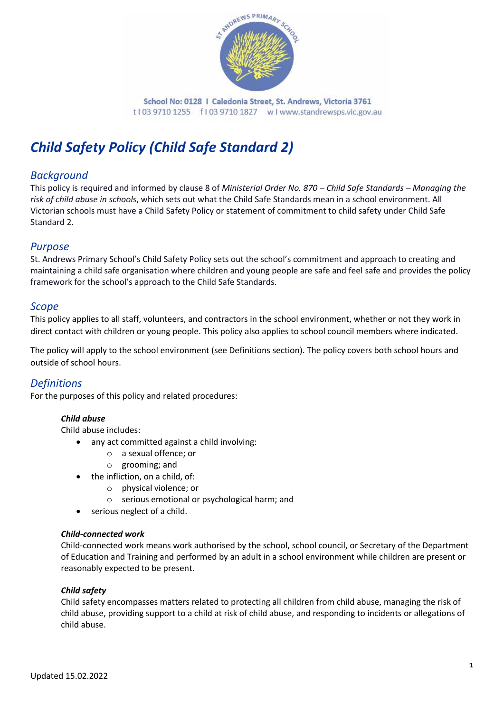

School No: 0128 | Caledonia Street, St. Andrews, Victoria 3761 t103 9710 1255 f103 9710 1827 wlwww.standrewsps.vic.gov.au

# *Child Safety Policy (Child Safe Standard 2)*

### *Background*

This policy is required and informed by clause 8 of *Ministerial Order No. 870 – Child Safe Standards – Managing the risk of child abuse in schools*, which sets out what the Child Safe Standards mean in a school environment. All Victorian schools must have a Child Safety Policy or statement of commitment to child safety under Child Safe Standard 2.

### *Purpose*

St. Andrews Primary School's Child Safety Policy sets out the school's commitment and approach to creating and maintaining a child safe organisation where children and young people are safe and feel safe and provides the policy framework for the school's approach to the Child Safe Standards.

### *Scope*

This policy applies to all staff, volunteers, and contractors in the school environment, whether or not they work in direct contact with children or young people. This policy also applies to school council members where indicated.

The policy will apply to the school environment (see Definitions section). The policy covers both school hours and outside of school hours.

### *Definitions*

For the purposes of this policy and related procedures:

### *Child abuse*

Child abuse includes:

- any act committed against a child involving:
	- o a sexual offence; or
		- o grooming; and
- the infliction, on a child, of:
	- o physical violence; or
	- o serious emotional or psychological harm; and
- serious neglect of a child.

#### *Child-connected work*

Child-connected work means work authorised by the school, school council, or Secretary of the Department of Education and Training and performed by an adult in a school environment while children are present or reasonably expected to be present.

#### *Child safety*

Child safety encompasses matters related to protecting all children from child abuse, managing the risk of child abuse, providing support to a child at risk of child abuse, and responding to incidents or allegations of child abuse.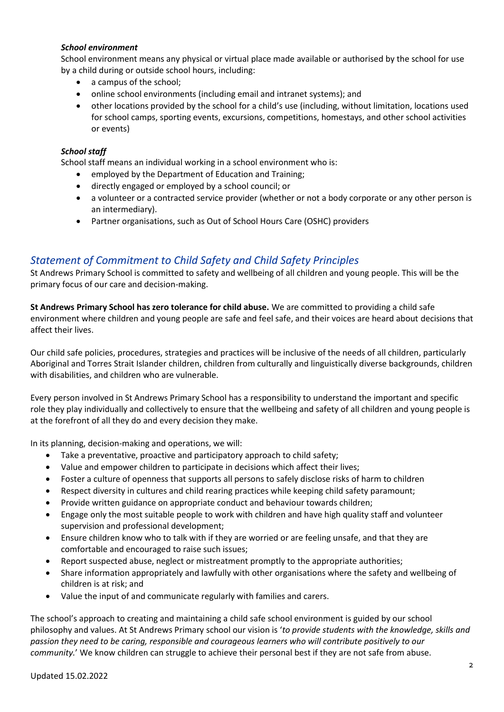### *School environment*

School environment means any physical or virtual place made available or authorised by the school for use by a child during or outside school hours, including:

- a campus of the school:
- online school environments (including email and intranet systems); and
- other locations provided by the school for a child's use (including, without limitation, locations used for school camps, sporting events, excursions, competitions, homestays, and other school activities or events)

### *School staff*

School staff means an individual working in a school environment who is:

- employed by the Department of Education and Training;
- directly engaged or employed by a school council; or
- a volunteer or a contracted service provider (whether or not a body corporate or any other person is an intermediary).
- Partner organisations, such as Out of School Hours Care (OSHC) providers

### *Statement of Commitment to Child Safety and Child Safety Principles*

St Andrews Primary School is committed to safety and wellbeing of all children and young people. This will be the primary focus of our care and decision-making.

**St Andrews Primary School has zero tolerance for child abuse.** We are committed to providing a child safe environment where children and young people are safe and feel safe, and their voices are heard about decisions that affect their lives.

Our child safe policies, procedures, strategies and practices will be inclusive of the needs of all children, particularly Aboriginal and Torres Strait Islander children, children from culturally and linguistically diverse backgrounds, children with disabilities, and children who are vulnerable.

Every person involved in St Andrews Primary School has a responsibility to understand the important and specific role they play individually and collectively to ensure that the wellbeing and safety of all children and young people is at the forefront of all they do and every decision they make.

In its planning, decision-making and operations, we will:

- Take a preventative, proactive and participatory approach to child safety;
- Value and empower children to participate in decisions which affect their lives;
- Foster a culture of openness that supports all persons to safely disclose risks of harm to children
- Respect diversity in cultures and child rearing practices while keeping child safety paramount;
- Provide written guidance on appropriate conduct and behaviour towards children;
- Engage only the most suitable people to work with children and have high quality staff and volunteer supervision and professional development;
- Ensure children know who to talk with if they are worried or are feeling unsafe, and that they are comfortable and encouraged to raise such issues;
- Report suspected abuse, neglect or mistreatment promptly to the appropriate authorities;
- Share information appropriately and lawfully with other organisations where the safety and wellbeing of children is at risk; and
- Value the input of and communicate regularly with families and carers.

The school's approach to creating and maintaining a child safe school environment is guided by our school philosophy and values. At St Andrews Primary school our vision is '*to provide students with the knowledge, skills and passion they need to be caring, responsible and courageous learners who will contribute positively to our community.*' We know children can struggle to achieve their personal best if they are not safe from abuse.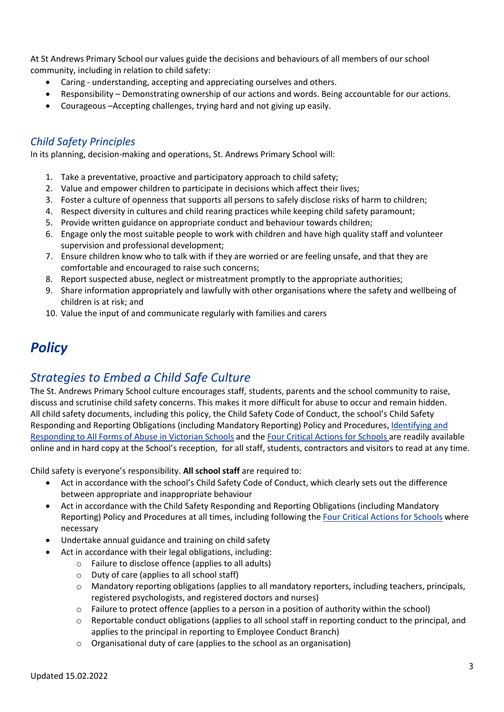At St Andrews Primary School our values guide the decisions and behaviours of all members of our school community, including in relation to child safety:

- Caring understanding, accepting and appreciating ourselves and others.
- Responsibility Demonstrating ownership of our actions and words. Being accountable for our actions.
- Courageous –Accepting challenges, trying hard and not giving up easily.

# *Child Safety Principles*

In its planning, decision-making and operations, St. Andrews Primary School will:

- 1. Take a preventative, proactive and participatory approach to child safety;
- 2. Value and empower children to participate in decisions which affect their lives;
- 3. Foster a culture of openness that supports all persons to safely disclose risks of harm to children;
- 4. Respect diversity in cultures and child rearing practices while keeping child safety paramount;
- 5. Provide written guidance on appropriate conduct and behaviour towards children;
- 6. Engage only the most suitable people to work with children and have high quality staff and volunteer supervision and professional development;
- 7. Ensure children know who to talk with if they are worried or are feeling unsafe, and that they are comfortable and encouraged to raise such concerns;
- 8. Report suspected abuse, neglect or mistreatment promptly to the appropriate authorities;
- 9. Share information appropriately and lawfully with other organisations where the safety and wellbeing of children is at risk; and
- 10. Value the input of and communicate regularly with families and carers

# *Policy*

# *Strategies to Embed a Child Safe Culture*

The St. Andrews Primary School culture encourages staff, students, parents and the school community to raise, discuss and scrutinise child safety concerns. This makes it more difficult for abuse to occur and remain hidden. All child safety documents, including this policy, the Child Safety Code of Conduct, the school's Child Safety Responding and Reporting Obligations (including Mandatory Reporting) Policy and Procedures, [Identifying and](https://www.education.vic.gov.au/Documents/about/programs/health/protect/ChildSafeStandard5_SchoolsGuide.pdf)  [Responding to All Forms of Abuse in Victorian Schools](https://www.education.vic.gov.au/Documents/about/programs/health/protect/ChildSafeStandard5_SchoolsGuide.pdf) and th[e Four Critical Actions for Schools](https://www.education.vic.gov.au/Documents/about/programs/health/protect/FourCriticalActions_ChildAbuse.pdf) are readily available online and in hard copy at the School's reception, for all staff, students, contractors and visitors to read at any time.

Child safety is everyone's responsibility. **All school staff** are required to:

- Act in accordance with the school's Child Safety Code of Conduct, which clearly sets out the difference between appropriate and inappropriate behaviour
- Act in accordance with the Child Safety Responding and Reporting Obligations (including Mandatory Reporting) Policy and Procedures at all times, including following th[e Four Critical Actions for Schools](https://www.education.vic.gov.au/Documents/about/programs/health/protect/FourCriticalActions_ChildAbuse.pdf) where necessary
- Undertake annual guidance and training on child safety
- Act in accordance with their legal obligations, including:
	- o Failure to disclose offence (applies to all adults)
	- o Duty of care (applies to all school staff)
	- o Mandatory reporting obligations (applies to all mandatory reporters, including teachers, principals, registered psychologists, and registered doctors and nurses)
	- $\circ$  Failure to protect offence (applies to a person in a position of authority within the school)
	- $\circ$  Reportable conduct obligations (applies to all school staff in reporting conduct to the principal, and applies to the principal in reporting to Employee Conduct Branch)
	- o Organisational duty of care (applies to the school as an organisation)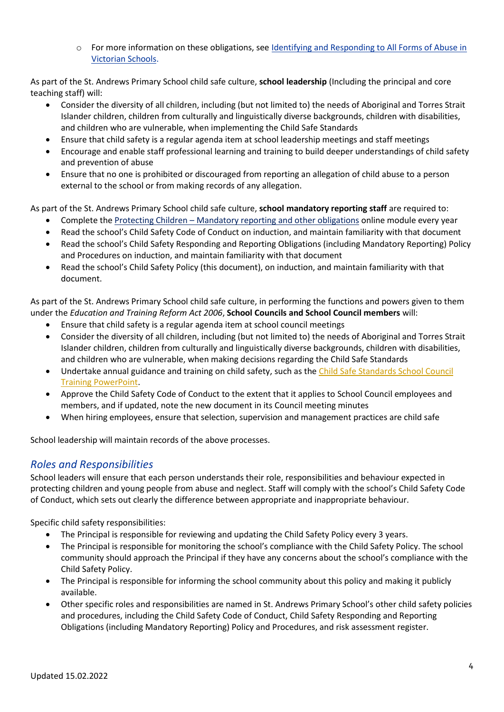o For more information on these obligations, se[e Identifying and Responding to All Forms of Abuse in](https://www.education.vic.gov.au/Documents/about/programs/health/protect/ChildSafeStandard5_SchoolsGuide.pdf)  [Victorian Schools.](https://www.education.vic.gov.au/Documents/about/programs/health/protect/ChildSafeStandard5_SchoolsGuide.pdf)

As part of the St. Andrews Primary School child safe culture, **school leadership** (Including the principal and core teaching staff) will:

- Consider the diversity of all children, including (but not limited to) the needs of Aboriginal and Torres Strait Islander children, children from culturally and linguistically diverse backgrounds, children with disabilities, and children who are vulnerable, when implementing the Child Safe Standards
- Ensure that child safety is a regular agenda item at school leadership meetings and staff meetings
- Encourage and enable staff professional learning and training to build deeper understandings of child safety and prevention of abuse
- Ensure that no one is prohibited or discouraged from reporting an allegation of child abuse to a person external to the school or from making records of any allegation.

As part of the St. Andrews Primary School child safe culture, **school mandatory reporting staff** are required to:

- Complete the Protecting Children [Mandatory reporting and other obligations](http://elearn.com.au/det/protectingchildren/) online module every year
- Read the school's Child Safety Code of Conduct on induction, and maintain familiarity with that document
- Read the school's Child Safety Responding and Reporting Obligations (including Mandatory Reporting) Policy and Procedures on induction, and maintain familiarity with that document
- Read the school's Child Safety Policy (this document), on induction, and maintain familiarity with that document.

As part of the St. Andrews Primary School child safe culture, in performing the functions and powers given to them under the *Education and Training Reform Act 2006*, **School Councils and School Council members** will:

- Ensure that child safety is a regular agenda item at school council meetings
- Consider the diversity of all children, including (but not limited to) the needs of Aboriginal and Torres Strait Islander children, children from culturally and linguistically diverse backgrounds, children with disabilities, and children who are vulnerable, when making decisions regarding the Child Safe Standards
- Undertake annual guidance and training on child safety, such as th[e Child Safe Standards School Council](https://www.education.vic.gov.au/Documents/about/programs/health/protect/school-council-training.pptx)  [Training PowerPoint.](https://www.education.vic.gov.au/Documents/about/programs/health/protect/school-council-training.pptx)
- Approve the Child Safety Code of Conduct to the extent that it applies to School Council employees and members, and if updated, note the new document in its Council meeting minutes
- When hiring employees, ensure that selection, supervision and management practices are child safe

School leadership will maintain records of the above processes.

### *Roles and Responsibilities*

School leaders will ensure that each person understands their role, responsibilities and behaviour expected in protecting children and young people from abuse and neglect. Staff will comply with the school's Child Safety Code of Conduct, which sets out clearly the difference between appropriate and inappropriate behaviour.

Specific child safety responsibilities:

- The Principal is responsible for reviewing and updating the Child Safety Policy every 3 years.
- The Principal is responsible for monitoring the school's compliance with the Child Safety Policy. The school community should approach the Principal if they have any concerns about the school's compliance with the Child Safety Policy.
- The Principal is responsible for informing the school community about this policy and making it publicly available.
- Other specific roles and responsibilities are named in St. Andrews Primary School's other child safety policies and procedures, including the Child Safety Code of Conduct, Child Safety Responding and Reporting Obligations (including Mandatory Reporting) Policy and Procedures, and risk assessment register.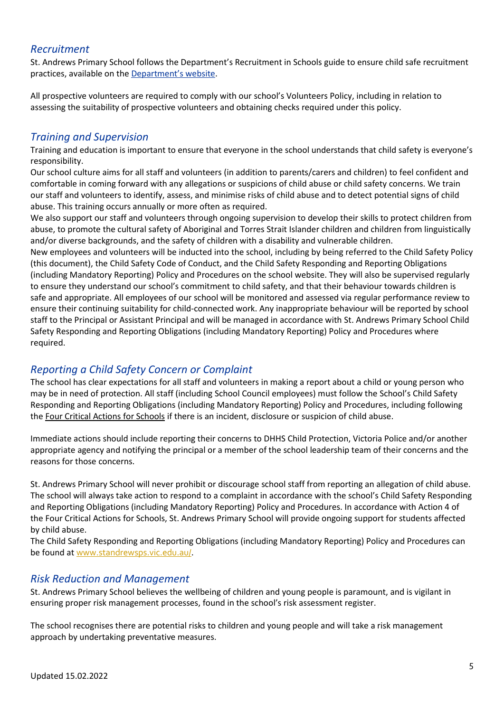### *Recruitment*

St. Andrews Primary School follows the Department's Recruitment in Schools guide to ensure child safe recruitment practices, available on the [Department's website](https://www.education.vic.gov.au/hrweb/careers/Pages/recruitinsch.aspx).

All prospective volunteers are required to comply with our school's Volunteers Policy, including in relation to assessing the suitability of prospective volunteers and obtaining checks required under this policy.

### *Training and Supervision*

Training and education is important to ensure that everyone in the school understands that child safety is everyone's responsibility.

Our school culture aims for all staff and volunteers (in addition to parents/carers and children) to feel confident and comfortable in coming forward with any allegations or suspicions of child abuse or child safety concerns. We train our staff and volunteers to identify, assess, and minimise risks of child abuse and to detect potential signs of child abuse. This training occurs annually or more often as required.

We also support our staff and volunteers through ongoing supervision to develop their skills to protect children from abuse, to promote the cultural safety of Aboriginal and Torres Strait Islander children and children from linguistically and/or diverse backgrounds, and the safety of children with a disability and vulnerable children.

New employees and volunteers will be inducted into the school, including by being referred to the Child Safety Policy (this document), the Child Safety Code of Conduct, and the Child Safety Responding and Reporting Obligations (including Mandatory Reporting) Policy and Procedures on the school website. They will also be supervised regularly to ensure they understand our school's commitment to child safety, and that their behaviour towards children is safe and appropriate. All employees of our school will be monitored and assessed via regular performance review to ensure their continuing suitability for child-connected work. Any inappropriate behaviour will be reported by school staff to the Principal or Assistant Principal and will be managed in accordance with St. Andrews Primary School Child Safety Responding and Reporting Obligations (including Mandatory Reporting) Policy and Procedures where required.

### *Reporting a Child Safety Concern or Complaint*

The school has clear expectations for all staff and volunteers in making a report about a child or young person who may be in need of protection. All staff (including School Council employees) must follow the School's Child Safety Responding and Reporting Obligations (including Mandatory Reporting) Policy and Procedures, including following the [Four Critical Actions for Schools](https://www.education.vic.gov.au/Documents/about/programs/health/protect/FourCriticalActions_ChildAbuse.pdf) if there is an incident, disclosure or suspicion of child abuse.

Immediate actions should include reporting their concerns to DHHS Child Protection, Victoria Police and/or another appropriate agency and notifying the principal or a member of the school leadership team of their concerns and the reasons for those concerns.

St. Andrews Primary School will never prohibit or discourage school staff from reporting an allegation of child abuse. The school will always take action to respond to a complaint in accordance with the school's Child Safety Responding and Reporting Obligations (including Mandatory Reporting) Policy and Procedures. In accordance with Action 4 of the Four Critical Actions for Schools, St. Andrews Primary School will provide ongoing support for students affected by child abuse.

The Child Safety Responding and Reporting Obligations (including Mandatory Reporting) Policy and Procedures can be found at [www.standrewsps.vic.edu.au/](http://www.standrewsps.vic.edu.au/).

### *Risk Reduction and Management*

St. Andrews Primary School believes the wellbeing of children and young people is paramount, and is vigilant in ensuring proper risk management processes, found in the school's risk assessment register.

The school recognises there are potential risks to children and young people and will take a risk management approach by undertaking preventative measures.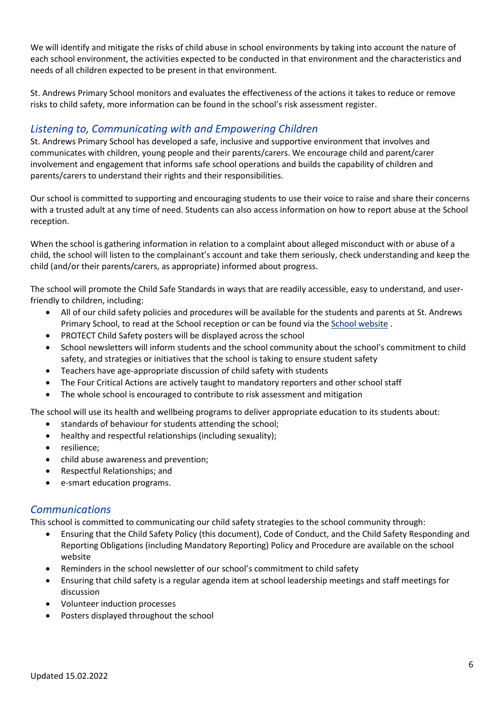We will identify and mitigate the risks of child abuse in school environments by taking into account the nature of each school environment, the activities expected to be conducted in that environment and the characteristics and needs of all children expected to be present in that environment.

St. Andrews Primary School monitors and evaluates the effectiveness of the actions it takes to reduce or remove risks to child safety, more information can be found in the school's risk assessment register.

# *Listening to, Communicating with and Empowering Children*

St. Andrews Primary School has developed a safe, inclusive and supportive environment that involves and communicates with children, young people and their parents/carers. We encourage child and parent/carer involvement and engagement that informs safe school operations and builds the capability of children and parents/carers to understand their rights and their responsibilities.

Our school is committed to supporting and encouraging students to use their voice to raise and share their concerns with a trusted adult at any time of need. Students can also access information on how to report abuse at the School reception.

When the school is gathering information in relation to a complaint about alleged misconduct with or abuse of a child, the school will listen to the complainant's account and take them seriously, check understanding and keep the child (and/or their parents/carers, as appropriate) informed about progress.

The school will promote the Child Safe Standards in ways that are readily accessible, easy to understand, and userfriendly to children, including:

- All of our child safety policies and procedures will be available for the students and parents at St. Andrews Primary School, to read at the School reception or can be found via the [School website](http://www.standrewsps.vic.edu.au/) .
- PROTECT Child Safety posters will be displayed across the school
- School newsletters will inform students and the school community about the school's commitment to child safety, and strategies or initiatives that the school is taking to ensure student safety
- Teachers have age-appropriate discussion of child safety with students
- The Four Critical Actions are actively taught to mandatory reporters and other school staff
- The whole school is encouraged to contribute to risk assessment and mitigation

The school will use its health and wellbeing programs to deliver appropriate education to its students about:

- standards of behaviour for students attending the school;
- healthy and respectful relationships (including sexuality);
- resilience;
- child abuse awareness and prevention;
- Respectful Relationships; and
- e-smart education programs.

### *Communications*

This school is committed to communicating our child safety strategies to the school community through:

- Ensuring that the Child Safety Policy (this document), Code of Conduct, and the Child Safety Responding and Reporting Obligations (including Mandatory Reporting) Policy and Procedure are available on the school website
- Reminders in the school newsletter of our school's commitment to child safety
- Ensuring that child safety is a regular agenda item at school leadership meetings and staff meetings for discussion
- Volunteer induction processes
- Posters displayed throughout the school